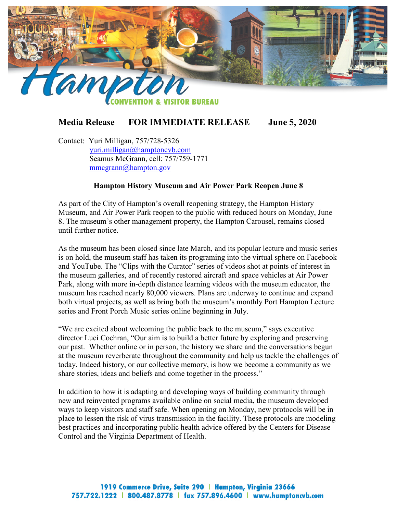

## **Media Release FOR IMMEDIATE RELEASE June 5, 2020**

Contact: Yuri Milligan, 757/728-5326 [yuri.milligan@hamptoncvb.com](mailto:yuri.milligan@hamptoncvb.com) Seamus McGrann, cell: 757/759-1771 [mmcgrann@hampton.gov](mailto:mmcgrann@hampton.gov)

## **Hampton History Museum and Air Power Park Reopen June 8**

As part of the City of Hampton's overall reopening strategy, the Hampton History Museum, and Air Power Park reopen to the public with reduced hours on Monday, June 8. The museum's other management property, the Hampton Carousel, remains closed until further notice.

As the museum has been closed since late March, and its popular lecture and music series is on hold, the museum staff has taken its programing into the virtual sphere on Facebook and YouTube. The "Clips with the Curator" series of videos shot at points of interest in the museum galleries, and of recently restored aircraft and space vehicles at Air Power Park, along with more in-depth distance learning videos with the museum educator, the museum has reached nearly 80,000 viewers. Plans are underway to continue and expand both virtual projects, as well as bring both the museum's monthly Port Hampton Lecture series and Front Porch Music series online beginning in July.

"We are excited about welcoming the public back to the museum," says executive director Luci Cochran, "Our aim is to build a better future by exploring and preserving our past. Whether online or in person, the history we share and the conversations begun at the museum reverberate throughout the community and help us tackle the challenges of today. Indeed history, or our collective memory, is how we become a community as we share stories, ideas and beliefs and come together in the process."

In addition to how it is adapting and developing ways of building community through new and reinvented programs available online on social media, the museum developed ways to keep visitors and staff safe. When opening on Monday, new protocols will be in place to lessen the risk of virus transmission in the facility. These protocols are modeling best practices and incorporating public health advice offered by the Centers for Disease Control and the Virginia Department of Health.